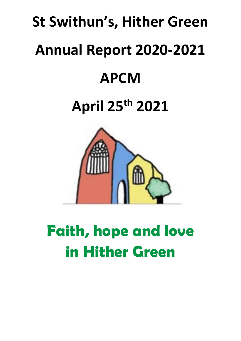# **St Swithun's, Hither Green Annual Report 2020-2021 APCM April 25th 2021**



# **Faith, hope and love in Hither Green**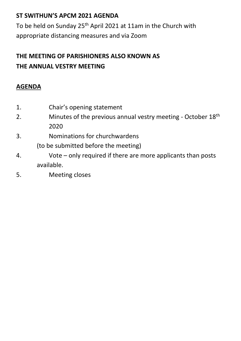# **ST SWITHUN'S APCM 2021 AGENDA**

To be held on Sunday 25<sup>th</sup> April 2021 at 11am in the Church with appropriate distancing measures and via Zoom

# **THE MEETING OF PARISHIONERS ALSO KNOWN AS THE ANNUAL VESTRY MEETING**

# **AGENDA**

- 1. Chair's opening statement
- 2. Minutes of the previous annual vestry meeting October  $18<sup>th</sup>$ 2020
- 3. Nominations for churchwardens

(to be submitted before the meeting)

- 4. Vote only required if there are more applicants than posts available.
- 5. Meeting closes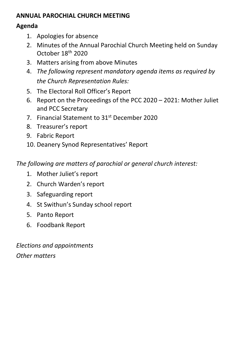# **ANNUAL PAROCHIAL CHURCH MEETING**

# **Agenda**

- 1. Apologies for absence
- 2. Minutes of the Annual Parochial Church Meeting held on Sunday October 18th 2020
- 3. Matters arising from above Minutes
- 4. *The following represent mandatory agenda items as required by the Church Representation Rules:*
- 5. The Electoral Roll Officer's Report
- 6. Report on the Proceedings of the PCC 2020 2021: Mother Juliet and PCC Secretary
- 7. Financial Statement to 31st December 2020
- 8. Treasurer's report
- 9. Fabric Report
- 10. Deanery Synod Representatives' Report

*The following are matters of parochial or general church interest:*

- 1. Mother Juliet's report
- 2. Church Warden's report
- 3. Safeguarding report
- 4. St Swithun's Sunday school report
- 5. Panto Report
- 6. Foodbank Report

*Elections and appointments Other matters*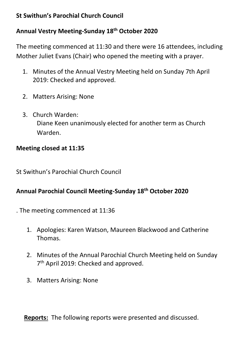# **St Swithun's Parochial Church Council**

# **Annual Vestry Meeting-Sunday 18th October 2020**

The meeting commenced at 11:30 and there were 16 attendees, including Mother Juliet Evans (Chair) who opened the meeting with a prayer.

- 1. Minutes of the Annual Vestry Meeting held on Sunday 7th April 2019: Checked and approved.
- 2. Matters Arising: None
- 3. Church Warden: Diane Keen unanimously elected for another term as Church Warden.

# **Meeting closed at 11:35**

St Swithun's Parochial Church Council

# **Annual Parochial Council Meeting-Sunday 18th October 2020**

. The meeting commenced at 11:36

- 1. Apologies: Karen Watson, Maureen Blackwood and Catherine Thomas.
- 2. Minutes of the Annual Parochial Church Meeting held on Sunday 7<sup>th</sup> April 2019: Checked and approved.
- 3. Matters Arising: None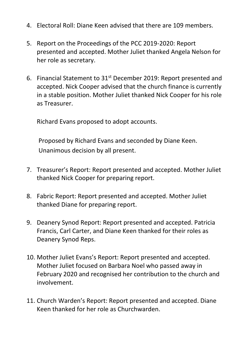- 4. Electoral Roll: Diane Keen advised that there are 109 members.
- 5. Report on the Proceedings of the PCC 2019-2020: Report presented and accepted. Mother Juliet thanked Angela Nelson for her role as secretary.
- 6. Financial Statement to 31st December 2019: Report presented and accepted. Nick Cooper advised that the church finance is currently in a stable position. Mother Juliet thanked Nick Cooper for his role as Treasurer.

Richard Evans proposed to adopt accounts.

Proposed by Richard Evans and seconded by Diane Keen. Unanimous decision by all present.

- 7. Treasurer's Report: Report presented and accepted. Mother Juliet thanked Nick Cooper for preparing report.
- 8. Fabric Report: Report presented and accepted. Mother Juliet thanked Diane for preparing report.
- 9. Deanery Synod Report: Report presented and accepted. Patricia Francis, Carl Carter, and Diane Keen thanked for their roles as Deanery Synod Reps.
- 10. Mother Juliet Evans's Report: Report presented and accepted. Mother Juliet focused on Barbara Noel who passed away in February 2020 and recognised her contribution to the church and involvement.
- 11. Church Warden's Report: Report presented and accepted. Diane Keen thanked for her role as Churchwarden.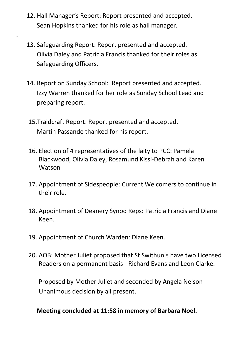12. Hall Manager's Report: Report presented and accepted. Sean Hopkins thanked for his role as hall manager.

.

- 13. Safeguarding Report: Report presented and accepted. Olivia Daley and Patricia Francis thanked for their roles as Safeguarding Officers.
- 14. Report on Sunday School: Report presented and accepted. Izzy Warren thanked for her role as Sunday School Lead and preparing report.
	- 15.Traidcraft Report: Report presented and accepted. Martin Passande thanked for his report.
	- 16. Election of 4 representatives of the laity to PCC: Pamela Blackwood, Olivia Daley, Rosamund Kissi-Debrah and Karen Watson
	- 17. Appointment of Sidespeople: Current Welcomers to continue in their role.
	- 18. Appointment of Deanery Synod Reps: Patricia Francis and Diane Keen.
	- 19. Appointment of Church Warden: Diane Keen.
- 20. AOB: Mother Juliet proposed that St Swithun's have two Licensed Readers on a permanent basis - Richard Evans and Leon Clarke.

Proposed by Mother Juliet and seconded by Angela Nelson Unanimous decision by all present.

# **Meeting concluded at 11:58 in memory of Barbara Noel.**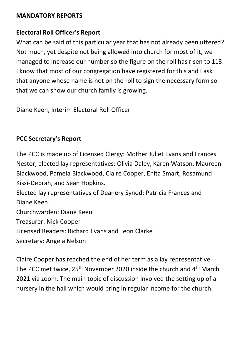## **MANDATORY REPORTS**

# **Electoral Roll Officer's Report**

What can be said of this particular year that has not already been uttered? Not much, yet despite not being allowed into church for most of it, we managed to increase our number so the figure on the roll has risen to 113. I know that most of our congregation have registered for this and I ask that anyone whose name is not on the roll to sign the necessary form so that we can show our church family is growing.

Diane Keen, Interim Electoral Roll Officer

# **PCC Secretary's Report**

The PCC is made up of Licensed Clergy: Mother Juliet Evans and Frances Nestor, elected lay representatives: Olivia Daley, Karen Watson, Maureen Blackwood, Pamela Blackwood, Claire Cooper, Enita Smart, Rosamund Kissi-Debrah, and Sean Hopkins.

Elected lay representatives of Deanery Synod: Patricia Frances and Diane Keen.

Churchwarden: Diane Keen

Treasurer: Nick Cooper

Licensed Readers: Richard Evans and Leon Clarke

Secretary: Angela Nelson

Claire Cooper has reached the end of her term as a lay representative. The PCC met twice, 25<sup>th</sup> November 2020 inside the church and 4<sup>th</sup> March 2021 via zoom. The main topic of discussion involved the setting up of a nursery in the hall which would bring in regular income for the church.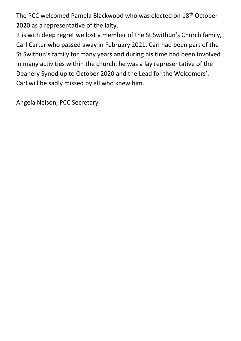The PCC welcomed Pamela Blackwood who was elected on 18th October 2020 as a representative of the laity.

It is with deep regret we lost a member of the St Swithun's Church family, Carl Carter who passed away in February 2021. Carl had been part of the St Swithun's family for many years and during his time had been involved in many activities within the church, he was a lay representative of the Deanery Synod up to October 2020 and the Lead for the Welcomers'. Carl will be sadly missed by all who knew him.

Angela Nelson, PCC Secretary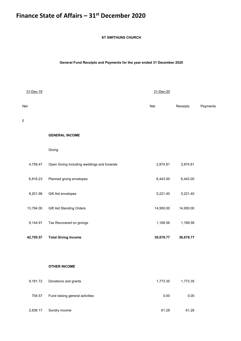# **Finance State of Affairs – 31st December 2020**

**ST SWITHUNS CHURCH**

**General Fund Receipts and Payments for the year ended 31 December 2020**

| 31-Dec-19 |                                             | 31-Dec-20 |           |          |
|-----------|---------------------------------------------|-----------|-----------|----------|
| Net       |                                             | Net       | Receipts  | Payments |
| £         |                                             |           |           |          |
|           | <b>GENERAL INCOME</b>                       |           |           |          |
|           | Giving                                      |           |           |          |
| 4,758.47  | Open Giving including weddings and funerals | 2,874.81  | 2,874.81  |          |
| 6,816.23  | Planned giving envelopes                    | 6,443.00  | 6,443.00  |          |
| 8,201.96  | Gift Aid envelopes                          | 5,221.40  | 5,221.40  |          |
| 13,784.00 | <b>Gift Aid Standing Orders</b>             | 14,950.00 | 14,950.00 |          |
| 9,144.91  | Tax Recovered on givings                    | 1,189.56  | 1,189.56  |          |
| 42,705.57 | <b>Total Giving Income</b>                  | 30,678.77 | 30,678.77 |          |
|           |                                             |           |           |          |
|           | <b>OTHER INCOME</b>                         |           |           |          |
| 9,181.72  | Donations and grants                        | 1,773.35  | 1,773.35  |          |
| 704.57    | Fund raising general activities             | 0.00      | 0.00      |          |
| 2,836.17  | Sundry income                               | 61.28     | 61.28     |          |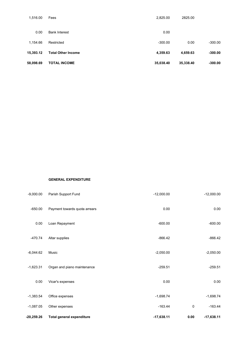| 58,098.69 | <b>TOTAL INCOME</b>       | 35,038.40 | 35,338.40 | $-300.00$ |
|-----------|---------------------------|-----------|-----------|-----------|
| 15.393.12 | <b>Total Other Income</b> | 4,359.63  | 4,659.63  | $-300.00$ |
| 1.154.66  | Restricted                | $-300.00$ | 0.00      | $-300.00$ |
| 0.00      | <b>Bank Interest</b>      | 0.00      |           |           |
| 1.516.00  | Fees                      | 2.825.00  | 2825.00   |           |

### **GENERAL EXPENDITURE**

| -20,259.26  | Total general expenditure     | $-17,638.11$ | 0.00        | $-17,638.11$ |
|-------------|-------------------------------|--------------|-------------|--------------|
| $-1,087.05$ | Other expenses                | $-163.44$    | $\mathbf 0$ | $-163.44$    |
| $-1,383.54$ | Office expenses               | $-1,698.74$  |             | $-1,698.74$  |
| 0.00        | Vicar's expenses              | 0.00         |             | 0.00         |
| $-1,623.31$ | Organ and piano maintenance   | $-259.51$    |             | $-259.51$    |
| $-6,044.62$ | Music                         | $-2,050.00$  |             | $-2,050.00$  |
| $-470.74$   | Altar supplies                | $-866.42$    |             | $-866.42$    |
| 0.00        | Loan Repayment                | $-600.00$    |             | $-600.00$    |
| $-650.00$   | Payment towards quota arrears | 0.00         |             | 0.00         |
| $-9.000.00$ | Parish Support Fund           | $-12,000.00$ |             | $-12,000.00$ |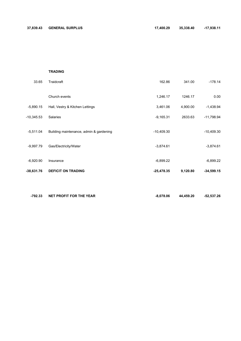### **TRADING**

| 33.65       | Traidcraft                              | 162.86       | 341.00   | $-178.14$    |
|-------------|-----------------------------------------|--------------|----------|--------------|
|             | Church events                           | 1,246.17     | 1246.17  | 0.00         |
| $-5,890.15$ | Hall, Vestry & Kitchen Lettings         | 3,461.06     | 4,900.00 | $-1,438.94$  |
| -10,345.53  | Salaries                                | $-9,165.31$  | 2633.63  | $-11,798.94$ |
| $-5,511.04$ | Building maintenance, admin & gardening | $-10,409.30$ |          | $-10,409.30$ |
| $-9,997.79$ | Gas/Electricity/Water                   | $-3,874.61$  |          | $-3,874.61$  |
| $-6,920.90$ | Insurance                               | $-6,899.22$  |          | $-6,899.22$  |
| 38,631.76   | <b>DEFICIT ON TRADING</b>               | 25,478.35    | 9,120.80 | $-34,599.15$ |
|             |                                         |              |          |              |

| -792.33 | NET PROFIT FOR THE YEAR | $-8.078.06$ | 44.459.20 | -52.537.26 |
|---------|-------------------------|-------------|-----------|------------|
|         |                         |             |           |            |
|         |                         |             |           |            |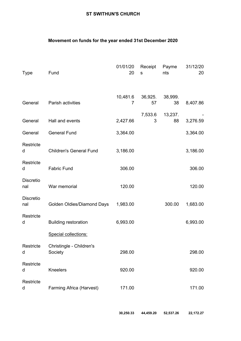### **ST SWITHUN'S CHURCH**

### **Movement on funds for the year ended 31st December 2020**

| Type                    | Fund                                | 01/01/20<br>20 | Receipt<br>s  | Payme<br>nts  | 31/12/20<br>20 |
|-------------------------|-------------------------------------|----------------|---------------|---------------|----------------|
| General                 | Parish activities                   | 10,481.6<br>7  | 36,925.<br>57 | 38,999.<br>38 | 8,407.86       |
| General                 | Hall and events                     | 2,427.66       | 7,533.6<br>3  | 13,237.<br>88 | 3,276.59       |
| General                 | <b>General Fund</b>                 | 3,364.00       |               |               | 3,364.00       |
| Restricte<br>d          | <b>Children's General Fund</b>      | 3,186.00       |               |               | 3,186.00       |
| Restricte<br>d          | <b>Fabric Fund</b>                  | 306.00         |               |               | 306.00         |
| <b>Discretio</b><br>nal | War memorial                        | 120.00         |               |               | 120.00         |
| <b>Discretio</b><br>nal | Golden Oldies/Diamond Days          | 1,983.00       |               | 300.00        | 1,683.00       |
| Restricte<br>d          | <b>Building restoration</b>         | 6,993.00       |               |               | 6,993.00       |
|                         | Special collections:                |                |               |               |                |
| Restricte<br>d          | Christingle - Children's<br>Society | 298.00         |               |               | 298.00         |
| Restricte<br>d          | <b>Kneelers</b>                     | 920.00         |               |               | 920.00         |
| Restricte<br>d          | Farming Africa (Harvest)            | 171.00         |               |               | 171.00         |

**30,250.33 44,459.20 52,537.26 22,172.27**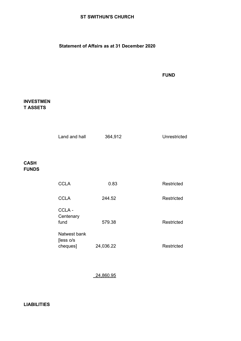### **ST SWITHUN'S CHURCH**

### **Statement of Affairs as at 31 December 2020**

### **FUND**

### **INVESTMEN T ASSETS**

**CASH FUNDS**

| Land and hall              | 364,912   | Unrestricted |
|----------------------------|-----------|--------------|
|                            |           |              |
|                            |           |              |
|                            |           |              |
| <b>CCLA</b>                | 0.83      | Restricted   |
| <b>CCLA</b>                | 244.52    | Restricted   |
| CCLA-<br>Centenary<br>fund | 579.38    | Restricted   |
| Natwest bank<br>[less o/s  |           |              |
| cheques]                   | 24,036.22 | Restricted   |
|                            |           |              |

24,860.95

### **LIABILITIES**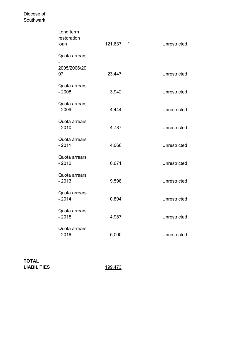### Diocese of Southwark:

| Long term<br>restoration<br>loan | 121,637 | * | Unrestricted |
|----------------------------------|---------|---|--------------|
| Quota arrears                    |         |   |              |
| 2005/2006/20<br>07               | 23,447  |   | Unrestricted |
| Quota arrears<br>$-2008$         | 3,942   |   | Unrestricted |
| Quota arrears<br>$-2009$         | 4,444   |   | Unrestricted |
| Quota arrears<br>$-2010$         | 4,787   |   | Unrestricted |
| Quota arrears<br>$-2011$         | 4,066   |   | Unrestricted |
| Quota arrears<br>$-2012$         | 6,671   |   | Unrestricted |
| Quota arrears<br>$-2013$         | 9,598   |   | Unrestricted |
| Quota arrears<br>$-2014$         | 10,894  |   | Unrestricted |
| Quota arrears<br>$-2015$         | 4,987   |   | Unrestricted |
| Quota arrears<br>$-2016$         | 5,000   |   | Unrestricted |

**TOTAL LIABILITIES** 199,473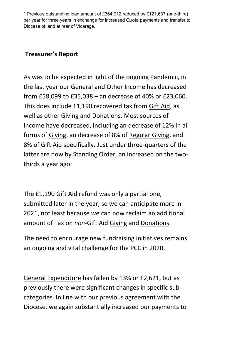\* Previous outstanding loan amount of £364,912 reduced by £121,637 (one-third) per year for three years in exchange for increased Quota payments and transfer to Diocese of land at rear of Vicarage.

# **Treasurer's Report**

As was to be expected in light of the ongoing Pandemic, in the last year our General and Other Income has decreased from £58,099 to £35,038 – an decrease of 40% or £23,060. This does include £1,190 recovered tax from Gift Aid, as well as other Giving and Donations. Most sources of Income have decreased, including an decrease of 12% in all forms of Giving, an decrease of 8% of Regular Giving, and 8% of Gift Aid specifically. Just under three-quarters of the latter are now by Standing Order, an increased on the twothirds a year ago.

The £1,190 Gift Aid refund was only a partial one, submitted later in the year, so we can anticipate more in 2021, not least because we can now reclaim an additional amount of Tax on *non*-Gift Aid Giving and Donations.

The need to encourage new fundraising initiatives remains an ongoing and vital challenge for the PCC in 2020.

General Expenditure has fallen by 13% or £2,621, but as previously there were significant changes in specific subcategories. In line with our previous agreement with the Diocese, we again substantially increased our payments to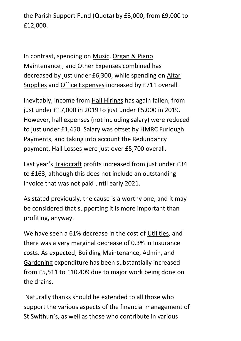the Parish Support Fund (Quota) by £3,000, from £9,000 to £12,000.

In contrast, spending on Music, Organ & Piano Maintenance , and Other Expenses combined has decreased by just under £6,300, while spending on Altar Supplies and Office Expenses increased by £711 overall.

Inevitably, income from Hall Hirings has again fallen, from just under £17,000 in 2019 to just under £5,000 in 2019. However, hall expenses (not including salary) were reduced to just under £1,450. Salary was offset by HMRC Furlough Payments, and taking into account the Redundancy payment, Hall Losses were just over £5,700 overall.

Last year's Traidcraft profits increased from just under £34 to £163, although this does not include an outstanding invoice that was not paid until early 2021.

As stated previously, the cause is a worthy one, and it may be considered that supporting it is more important than profiting, anyway.

We have seen a 61% decrease in the cost of Utilities, and there was a very marginal decrease of 0.3% in Insurance costs. As expected, Building Maintenance, Admin, and Gardening expenditure has been substantially increased from £5,511 to £10,409 due to major work being done on the drains.

Naturally thanks should be extended to all those who support the various aspects of the financial management of St Swithun's, as well as those who contribute in various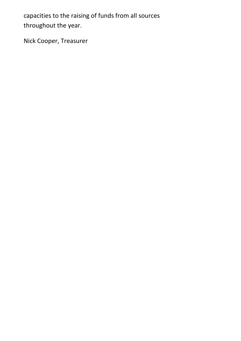capacities to the raising of funds from all sources throughout the year.

Nick Cooper, Treasurer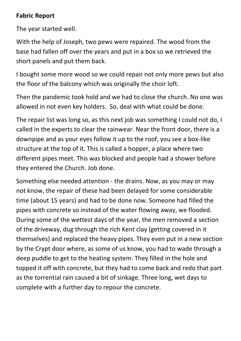# **Fabric Report**

The year started well.

With the help of Joseph, two pews were repaired. The wood from the base had fallen off over the years and put in a box so we retrieved the short panels and put them back.

I bought some more wood so we could repair not only more pews but also the floor of the balcony which was originally the choir loft.

Then the pandemic took hold and we had to close the church. No one was allowed in not even key holders. So, deal with what could be done.

The repair list was long so, as this next job was something I could not do, I called in the experts to clear the rainwear. Near the front door, there is a downpipe and as your eyes follow it up to the roof, you see a box-like structure at the top of it. This is called a hopper, a place where two different pipes meet. This was blocked and people had a shower before they entered the Church. Job done.

Something else needed attention - the drains. Now, as you may or may not know, the repair of these had been delayed for some considerable time (about 15 years) and had to be done now. Someone had filled the pipes with concrete so instead of the water flowing away, we flooded. During some of the wettest days of the year, the men removed a section of the driveway, dug through the rich Kent clay (getting covered in it themselves) and replaced the heavy pipes. They even put in a new section by the Crypt door where, as some of us know, you had to wade through a deep puddle to get to the heating system. They filled in the hole and topped it off with concrete, but they had to come back and redo that part as the torrential rain caused a bit of sinkage. Three long, wet days to complete with a further day to repour the concrete.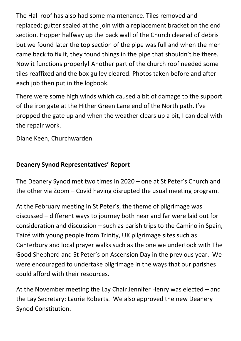The Hall roof has also had some maintenance. Tiles removed and replaced; gutter sealed at the join with a replacement bracket on the end section. Hopper halfway up the back wall of the Church cleared of debris but we found later the top section of the pipe was full and when the men came back to fix it, they found things in the pipe that shouldn't be there. Now it functions properly! Another part of the church roof needed some tiles reaffixed and the box gulley cleared. Photos taken before and after each job then put in the logbook.

There were some high winds which caused a bit of damage to the support of the iron gate at the Hither Green Lane end of the North path. I've propped the gate up and when the weather clears up a bit, I can deal with the repair work.

Diane Keen, Churchwarden

# **Deanery Synod Representatives' Report**

The Deanery Synod met two times in 2020 – one at St Peter's Church and the other via Zoom – Covid having disrupted the usual meeting program.

At the February meeting in St Peter's, the theme of pilgrimage was discussed – different ways to journey both near and far were laid out for consideration and discussion – such as parish trips to the Camino in Spain, Taizé with young people from Trinity, UK pilgrimage sites such as Canterbury and local prayer walks such as the one we undertook with The Good Shepherd and St Peter's on Ascension Day in the previous year. We were encouraged to undertake pilgrimage in the ways that our parishes could afford with their resources.

At the November meeting the Lay Chair Jennifer Henry was elected – and the Lay Secretary: Laurie Roberts. We also approved the new Deanery Synod Constitution.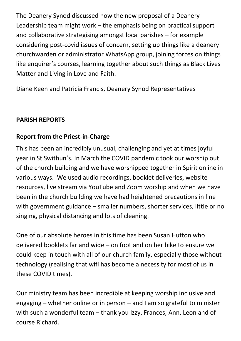The Deanery Synod discussed how the new proposal of a Deanery Leadership team might work – the emphasis being on practical support and collaborative strategising amongst local parishes – for example considering post-covid issues of concern, setting up things like a deanery churchwarden or administrator WhatsApp group, joining forces on things like enquirer's courses, learning together about such things as Black Lives Matter and Living in Love and Faith.

Diane Keen and Patricia Francis, Deanery Synod Representatives

# **PARISH REPORTS**

# **Report from the Priest-in-Charge**

This has been an incredibly unusual, challenging and yet at times joyful year in St Swithun's. In March the COVID pandemic took our worship out of the church building and we have worshipped together in Spirit online in various ways. We used audio recordings, booklet deliveries, website resources, live stream via YouTube and Zoom worship and when we have been in the church building we have had heightened precautions in line with government guidance – smaller numbers, shorter services, little or no singing, physical distancing and lots of cleaning.

One of our absolute heroes in this time has been Susan Hutton who delivered booklets far and wide – on foot and on her bike to ensure we could keep in touch with all of our church family, especially those without technology (realising that wifi has become a necessity for most of us in these COVID times).

Our ministry team has been incredible at keeping worship inclusive and engaging – whether online or in person – and I am so grateful to minister with such a wonderful team – thank you Izzy, Frances, Ann, Leon and of course Richard.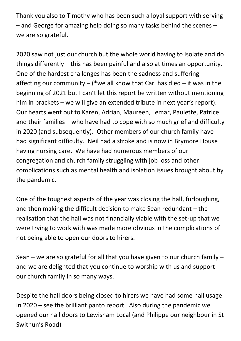Thank you also to Timothy who has been such a loyal support with serving – and George for amazing help doing so many tasks behind the scenes – we are so grateful.

2020 saw not just our church but the whole world having to isolate and do things differently – this has been painful and also at times an opportunity. One of the hardest challenges has been the sadness and suffering affecting our community – (\*we all know that Carl has died – it was in the beginning of 2021 but I can't let this report be written without mentioning him in brackets – we will give an extended tribute in next year's report). Our hearts went out to Karen, Adrian, Maureen, Lemar, Paulette, Patrice and their families – who have had to cope with so much grief and difficulty in 2020 (and subsequently). Other members of our church family have had significant difficulty. Neil had a stroke and is now in Brymore House having nursing care. We have had numerous members of our congregation and church family struggling with job loss and other complications such as mental health and isolation issues brought about by the pandemic.

One of the toughest aspects of the year was closing the hall, furloughing, and then making the difficult decision to make Sean redundant – the realisation that the hall was not financially viable with the set-up that we were trying to work with was made more obvious in the complications of not being able to open our doors to hirers.

Sean – we are so grateful for all that you have given to our church family – and we are delighted that you continue to worship with us and support our church family in so many ways.

Despite the hall doors being closed to hirers we have had some hall usage in 2020 – see the brilliant panto report. Also during the pandemic we opened our hall doors to Lewisham Local (and Philippe our neighbour in St Swithun's Road)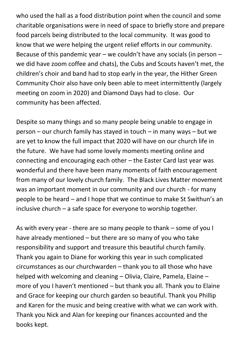who used the hall as a food distribution point when the council and some charitable organisations were in need of space to briefly store and prepare food parcels being distributed to the local community. It was good to know that we were helping the urgent relief efforts in our community. Because of this pandemic year – we couldn't have any socials (in person – we did have zoom coffee and chats), the Cubs and Scouts haven't met, the children's choir and band had to stop early in the year, the Hither Green Community Choir also have only been able to meet intermittently (largely meeting on zoom in 2020) and Diamond Days had to close. Our community has been affected.

Despite so many things and so many people being unable to engage in person – our church family has stayed in touch – in many ways – but we are yet to know the full impact that 2020 will have on our church life in the future. We have had some lovely moments meeting online and connecting and encouraging each other – the Easter Card last year was wonderful and there have been many moments of faith encouragement from many of our lovely church family. The Black Lives Matter movement was an important moment in our community and our church - for many people to be heard – and I hope that we continue to make St Swithun's an inclusive church – a safe space for everyone to worship together.

As with every year - there are so many people to thank – some of you I have already mentioned – but there are so many of you who take responsibility and support and treasure this beautiful church family. Thank you again to Diane for working this year in such complicated circumstances as our churchwarden – thank you to all those who have helped with welcoming and cleaning – Olivia, Claire, Pamela, Elaine – more of you I haven't mentioned – but thank you all. Thank you to Elaine and Grace for keeping our church garden so beautiful. Thank you Phillip and Karen for the music and being creative with what we can work with. Thank you Nick and Alan for keeping our finances accounted and the books kept.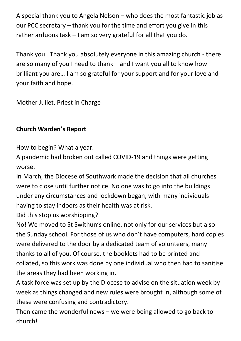A special thank you to Angela Nelson – who does the most fantastic job as our PCC secretary – thank you for the time and effort you give in this rather arduous task – I am so very grateful for all that you do.

Thank you. Thank you absolutely everyone in this amazing church - there are so many of you I need to thank – and I want you all to know how brilliant you are… I am so grateful for your support and for your love and your faith and hope.

Mother Juliet, Priest in Charge

# **Church Warden's Report**

How to begin? What a year.

A pandemic had broken out called COVID-19 and things were getting worse.

In March, the Diocese of Southwark made the decision that all churches were to close until further notice. No one was to go into the buildings under any circumstances and lockdown began, with many individuals having to stay indoors as their health was at risk.

Did this stop us worshipping?

No! We moved to St Swithun's online, not only for our services but also the Sunday school. For those of us who don't have computers, hard copies were delivered to the door by a dedicated team of volunteers, many thanks to all of you. Of course, the booklets had to be printed and collated, so this work was done by one individual who then had to sanitise the areas they had been working in.

A task force was set up by the Diocese to advise on the situation week by week as things changed and new rules were brought in, although some of these were confusing and contradictory.

Then came the wonderful news – we were being allowed to go back to church!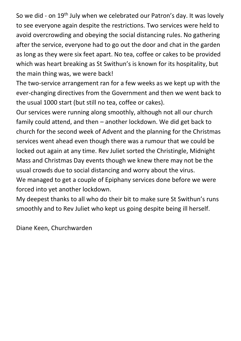So we did - on 19<sup>th</sup> July when we celebrated our Patron's day. It was lovely to see everyone again despite the restrictions. Two services were held to avoid overcrowding and obeying the social distancing rules. No gathering after the service, everyone had to go out the door and chat in the garden as long as they were six feet apart. No tea, coffee or cakes to be provided which was heart breaking as St Swithun's is known for its hospitality, but the main thing was, we were back!

The two-service arrangement ran for a few weeks as we kept up with the ever-changing directives from the Government and then we went back to the usual 1000 start (but still no tea, coffee or cakes).

Our services were running along smoothly, although not all our church family could attend, and then – another lockdown. We did get back to church for the second week of Advent and the planning for the Christmas services went ahead even though there was a rumour that we could be locked out again at any time. Rev Juliet sorted the Christingle, Midnight Mass and Christmas Day events though we knew there may not be the usual crowds due to social distancing and worry about the virus.

We managed to get a couple of Epiphany services done before we were forced into yet another lockdown.

My deepest thanks to all who do their bit to make sure St Swithun's runs smoothly and to Rev Juliet who kept us going despite being ill herself.

Diane Keen, Churchwarden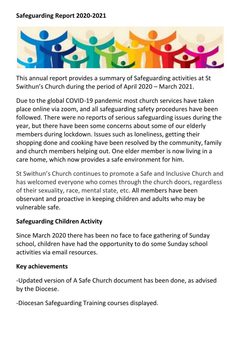# **Safeguarding Report 2020-2021**



This annual report provides a summary of Safeguarding activities at St Swithun's Church during the period of April 2020 – March 2021.

Due to the global COVID-19 pandemic most church services have taken place online via zoom, and all safeguarding safety procedures have been followed. There were no reports of serious safeguarding issues during the year, but there have been some concerns about some of our elderly members during lockdown. Issues such as loneliness, getting their shopping done and cooking have been resolved by the community, family and church members helping out. One elder member is now living in a care home, which now provides a safe environment for him.

St Swithun's Church continues to promote a Safe and Inclusive Church and has welcomed everyone who comes through the church doors, regardless of their sexuality, race, mental state, etc. All members have been observant and proactive in keeping children and adults who may be vulnerable safe.

# **Safeguarding Children Activity**

Since March 2020 there has been no face to face gathering of Sunday school, children have had the opportunity to do some Sunday school activities via email resources.

# **Key achievements**

-Updated version of A Safe Church document has been done, as advised by the Diocese.

-Diocesan Safeguarding Training courses displayed.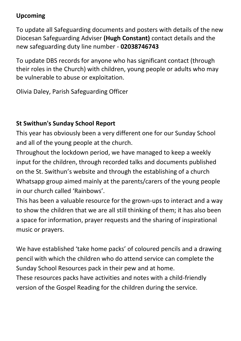# **Upcoming**

To update all Safeguarding documents and posters with details of the new Diocesan Safeguarding Adviser **(Hugh Constant)** contact details and the new safeguarding duty line number - **02038746743**

To update DBS records for anyone who has significant contact (through their roles in the Church) with children, young people or adults who may be vulnerable to abuse or exploitation.

Olivia Daley, Parish Safeguarding Officer

# **St Swithun's Sunday School Report**

This year has obviously been a very different one for our Sunday School and all of the young people at the church.

Throughout the lockdown period, we have managed to keep a weekly input for the children, through recorded talks and documents published on the St. Swithun's website and through the establishing of a church Whatsapp group aimed mainly at the parents/carers of the young people in our church called 'Rainbows'.

This has been a valuable resource for the grown-ups to interact and a way to show the children that we are all still thinking of them; it has also been a space for information, prayer requests and the sharing of inspirational music or prayers.

We have established 'take home packs' of coloured pencils and a drawing pencil with which the children who do attend service can complete the Sunday School Resources pack in their pew and at home. These resources packs have activities and notes with a child-friendly version of the Gospel Reading for the children during the service.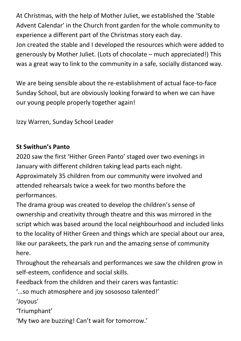At Christmas, with the help of Mother Juliet, we established the 'Stable Advent Calendar' in the Church front garden for the whole community to experience a different part of the Christmas story each day. Jon created the stable and I developed the resources which were added to generously by Mother Juliet. (Lots of chocolate – much appreciated!) This was a great way to link to the community in a safe, socially distanced way.

We are being sensible about the re-establishment of actual face-to-face Sunday School, but are obviously looking forward to when we can have our young people properly together again!

Izzy Warren, Sunday School Leader

# **St Swithun's Panto**

2020 saw the first 'Hither Green Panto' staged over two evenings in January with different children taking lead parts each night. Approximately 35 children from our community were involved and attended rehearsals twice a week for two months before the performances.

The drama group was created to develop the children's sense of ownership and creativity through theatre and this was mirrored in the script which was based around the local neighbourhood and included links to the locality of Hither Green and things which are special about our area, like our parakeets, the park run and the amazing sense of community here.

Throughout the rehearsals and performances we saw the children grow in self-esteem, confidence and social skills.

Feedback from the children and their carers was fantastic:

'…so much atmosphere and joy sosososo talented!'

'Joyous'

'Triumphant'

'My two are buzzing! Can't wait for tomorrow.'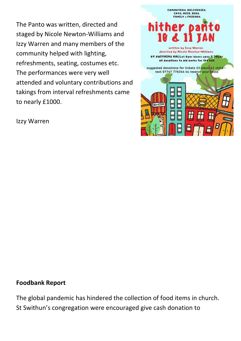The Panto was written, directed and staged by Nicole Newton-Williams and Izzy Warren and many members of the community helped with lighting, refreshments, seating, costumes etc. The performances were very well attended and voluntary contributions and takings from interval refreshments came to nearly £1000.





# **Foodbank Report**

The global pandemic has hindered the collection of food items in church. St Swithun's congregation were encouraged give cash donation to